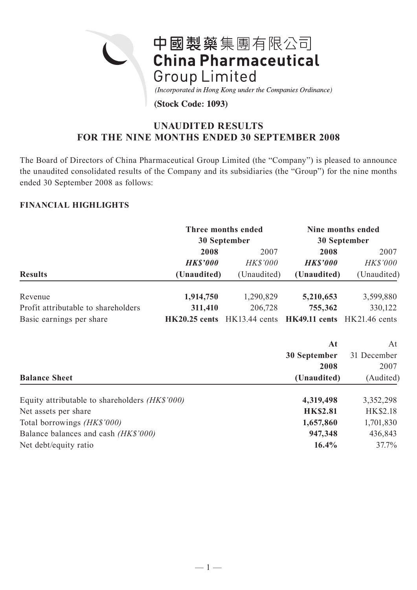

# **UNAUDITED RESULTS FOR THE NINE MONTHS ENDED 30 SEPTEMBER 2008**

The Board of Directors of China Pharmaceutical Group Limited (the "Company") is pleased to announce the unaudited consolidated results of the Company and its subsidiaries (the "Group") for the nine months ended 30 September 2008 as follows:

# **FINANCIAL HIGHLIGHTS**

|                                                       |                 | Three months ended          | Nine months ended   |                 |  |
|-------------------------------------------------------|-----------------|-----------------------------|---------------------|-----------------|--|
|                                                       |                 | <b>30 September</b>         | <b>30 September</b> |                 |  |
|                                                       | 2008            | 2007                        | 2008                | 2007            |  |
|                                                       | <b>HK\$'000</b> | <b>HK\$'000</b>             | <b>HK\$'000</b>     | HK\$'000        |  |
| <b>Results</b>                                        | (Unaudited)     | (Unaudited)                 | (Unaudited)         | (Unaudited)     |  |
| Revenue                                               | 1,914,750       | 1,290,829                   | 5,210,653           | 3,599,880       |  |
| Profit attributable to shareholders                   | 311,410         | 206,728                     | 755,362             | 330,122         |  |
| Basic earnings per share                              |                 | HK20.25 cents HK13.44 cents | HK49.11 cents       | $HK21.46$ cents |  |
|                                                       |                 |                             | At                  | At              |  |
|                                                       |                 |                             | 30 September        | 31 December     |  |
|                                                       |                 |                             | 2008                | 2007            |  |
| <b>Balance Sheet</b>                                  |                 |                             | (Unaudited)         | (Audited)       |  |
| Equity attributable to shareholders <i>(HK\$'000)</i> |                 |                             | 4,319,498           | 3,352,298       |  |
| Net assets per share                                  |                 |                             | <b>HK\$2.81</b>     | HK\$2.18        |  |
| Total borrowings (HK\$'000)                           |                 |                             | 1,657,860           | 1,701,830       |  |
| Balance balances and cash (HK\$'000)                  |                 |                             | 947,348             | 436,843         |  |
| Net debt/equity ratio                                 |                 |                             | 16.4%               | 37.7%           |  |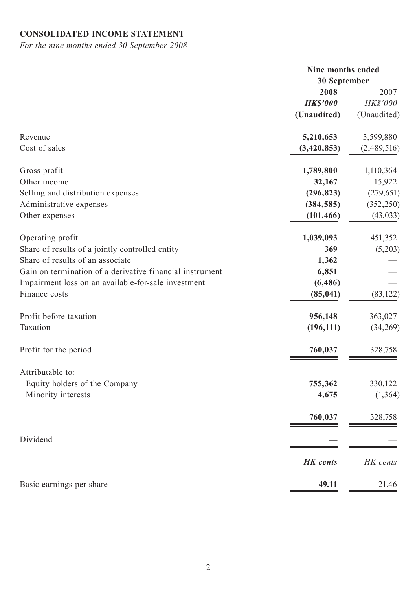# **CONSOLIDATED INCOME STATEMENT**

*For the nine months ended 30 September 2008*

| 2008<br>2007<br>HK\$'000<br><b>HK\$'000</b><br>(Unaudited)<br>Revenue<br>5,210,653<br>Cost of sales<br>(3, 420, 853)<br>Gross profit<br>1,789,800<br>Other income<br>32,167<br>Selling and distribution expenses<br>(296, 823)<br>Administrative expenses<br>(384, 585)<br>(101, 466)<br>Other expenses<br>1,039,093<br>Share of results of a jointly controlled entity<br>369<br>Share of results of an associate<br>1,362<br>Gain on termination of a derivative financial instrument<br>6,851<br>(6, 486)<br>Impairment loss on an available-for-sale investment<br>Finance costs<br>(85, 041)<br>Profit before taxation<br>956,148<br>Taxation<br>(196, 111)<br>Profit for the period<br>760,037<br>328,758<br>Attributable to:<br>755,362<br>330,122<br>Equity holders of the Company<br>Minority interests<br>4,675<br>760,037<br>328,758<br>Dividend<br><b>HK</b> cents<br>HK cents<br>Basic earnings per share<br>49.11 |                  | Nine months ended<br>30 September |  |
|---------------------------------------------------------------------------------------------------------------------------------------------------------------------------------------------------------------------------------------------------------------------------------------------------------------------------------------------------------------------------------------------------------------------------------------------------------------------------------------------------------------------------------------------------------------------------------------------------------------------------------------------------------------------------------------------------------------------------------------------------------------------------------------------------------------------------------------------------------------------------------------------------------------------------------|------------------|-----------------------------------|--|
|                                                                                                                                                                                                                                                                                                                                                                                                                                                                                                                                                                                                                                                                                                                                                                                                                                                                                                                                 |                  |                                   |  |
|                                                                                                                                                                                                                                                                                                                                                                                                                                                                                                                                                                                                                                                                                                                                                                                                                                                                                                                                 |                  |                                   |  |
|                                                                                                                                                                                                                                                                                                                                                                                                                                                                                                                                                                                                                                                                                                                                                                                                                                                                                                                                 |                  | (Unaudited)                       |  |
|                                                                                                                                                                                                                                                                                                                                                                                                                                                                                                                                                                                                                                                                                                                                                                                                                                                                                                                                 |                  | 3,599,880                         |  |
|                                                                                                                                                                                                                                                                                                                                                                                                                                                                                                                                                                                                                                                                                                                                                                                                                                                                                                                                 |                  | (2,489,516)                       |  |
|                                                                                                                                                                                                                                                                                                                                                                                                                                                                                                                                                                                                                                                                                                                                                                                                                                                                                                                                 |                  | 1,110,364                         |  |
|                                                                                                                                                                                                                                                                                                                                                                                                                                                                                                                                                                                                                                                                                                                                                                                                                                                                                                                                 |                  | 15,922                            |  |
|                                                                                                                                                                                                                                                                                                                                                                                                                                                                                                                                                                                                                                                                                                                                                                                                                                                                                                                                 |                  | (279, 651)                        |  |
|                                                                                                                                                                                                                                                                                                                                                                                                                                                                                                                                                                                                                                                                                                                                                                                                                                                                                                                                 |                  | (352, 250)                        |  |
|                                                                                                                                                                                                                                                                                                                                                                                                                                                                                                                                                                                                                                                                                                                                                                                                                                                                                                                                 |                  | (43, 033)                         |  |
|                                                                                                                                                                                                                                                                                                                                                                                                                                                                                                                                                                                                                                                                                                                                                                                                                                                                                                                                 | Operating profit | 451,352                           |  |
|                                                                                                                                                                                                                                                                                                                                                                                                                                                                                                                                                                                                                                                                                                                                                                                                                                                                                                                                 |                  | (5,203)                           |  |
|                                                                                                                                                                                                                                                                                                                                                                                                                                                                                                                                                                                                                                                                                                                                                                                                                                                                                                                                 |                  |                                   |  |
|                                                                                                                                                                                                                                                                                                                                                                                                                                                                                                                                                                                                                                                                                                                                                                                                                                                                                                                                 |                  |                                   |  |
|                                                                                                                                                                                                                                                                                                                                                                                                                                                                                                                                                                                                                                                                                                                                                                                                                                                                                                                                 |                  |                                   |  |
|                                                                                                                                                                                                                                                                                                                                                                                                                                                                                                                                                                                                                                                                                                                                                                                                                                                                                                                                 |                  | (83, 122)                         |  |
|                                                                                                                                                                                                                                                                                                                                                                                                                                                                                                                                                                                                                                                                                                                                                                                                                                                                                                                                 |                  | 363,027                           |  |
|                                                                                                                                                                                                                                                                                                                                                                                                                                                                                                                                                                                                                                                                                                                                                                                                                                                                                                                                 |                  | (34,269)                          |  |
|                                                                                                                                                                                                                                                                                                                                                                                                                                                                                                                                                                                                                                                                                                                                                                                                                                                                                                                                 |                  |                                   |  |
|                                                                                                                                                                                                                                                                                                                                                                                                                                                                                                                                                                                                                                                                                                                                                                                                                                                                                                                                 |                  |                                   |  |
|                                                                                                                                                                                                                                                                                                                                                                                                                                                                                                                                                                                                                                                                                                                                                                                                                                                                                                                                 |                  |                                   |  |
|                                                                                                                                                                                                                                                                                                                                                                                                                                                                                                                                                                                                                                                                                                                                                                                                                                                                                                                                 |                  | (1, 364)                          |  |
|                                                                                                                                                                                                                                                                                                                                                                                                                                                                                                                                                                                                                                                                                                                                                                                                                                                                                                                                 |                  |                                   |  |
|                                                                                                                                                                                                                                                                                                                                                                                                                                                                                                                                                                                                                                                                                                                                                                                                                                                                                                                                 |                  |                                   |  |
|                                                                                                                                                                                                                                                                                                                                                                                                                                                                                                                                                                                                                                                                                                                                                                                                                                                                                                                                 |                  |                                   |  |
|                                                                                                                                                                                                                                                                                                                                                                                                                                                                                                                                                                                                                                                                                                                                                                                                                                                                                                                                 |                  | 21.46                             |  |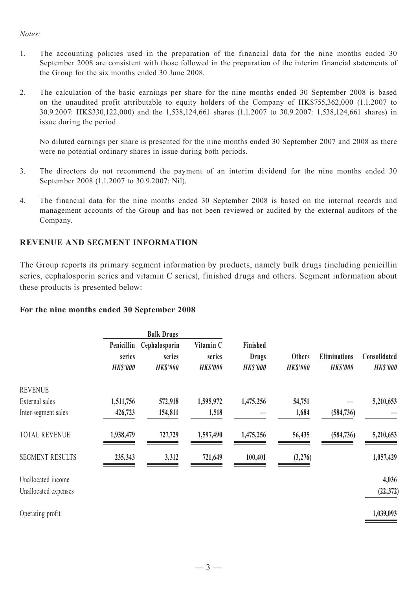#### *Notes:*

- 1. The accounting policies used in the preparation of the financial data for the nine months ended 30 September 2008 are consistent with those followed in the preparation of the interim financial statements of the Group for the six months ended 30 June 2008.
- 2. The calculation of the basic earnings per share for the nine months ended 30 September 2008 is based on the unaudited profit attributable to equity holders of the Company of HK\$755,362,000 (1.1.2007 to 30.9.2007: HK\$330,122,000) and the 1,538,124,661 shares (1.1.2007 to 30.9.2007: 1,538,124,661 shares) in issue during the period.

 No diluted earnings per share is presented for the nine months ended 30 September 2007 and 2008 as there were no potential ordinary shares in issue during both periods.

- 3. The directors do not recommend the payment of an interim dividend for the nine months ended 30 September 2008 (1.1.2007 to 30.9.2007: Nil).
- 4. The financial data for the nine months ended 30 September 2008 is based on the internal records and management accounts of the Group and has not been reviewed or audited by the external auditors of the Company.

## **REVENUE AND SEGMENT INFORMATION**

The Group reports its primary segment information by products, namely bulk drugs (including penicillin series, cephalosporin series and vitamin C series), finished drugs and others. Segment information about these products is presented below:

#### **For the nine months ended 30 September 2008**

|                        | <b>Bulk Drugs</b> |                         |                                        |                                             |                                  |                                        |                                 |
|------------------------|-------------------|-------------------------|----------------------------------------|---------------------------------------------|----------------------------------|----------------------------------------|---------------------------------|
|                        | Penicillin        | Cephalosporin<br>series | Vitamin C<br>series<br><b>HK\$'000</b> | Finished<br><b>Drugs</b><br><b>HK\$'000</b> | <b>Others</b><br><b>HK\$'000</b> | <b>Eliminations</b><br><b>HK\$'000</b> | Consolidated<br><b>HK\$'000</b> |
|                        | series            |                         |                                        |                                             |                                  |                                        |                                 |
|                        | <b>HK\$'000</b>   | <b>HK\$'000</b>         |                                        |                                             |                                  |                                        |                                 |
| <b>REVENUE</b>         |                   |                         |                                        |                                             |                                  |                                        |                                 |
| External sales         | 1,511,756         | 572,918                 | 1,595,972                              | 1,475,256                                   | 54,751                           |                                        | 5,210,653                       |
| Inter-segment sales    | 426,723           | 154,811                 | 1,518                                  |                                             | 1,684                            | (584, 736)                             |                                 |
| <b>TOTAL REVENUE</b>   | 1,938,479         | 727,729                 | 1,597,490                              | 1,475,256                                   | 56,435                           | (584, 736)                             | 5,210,653                       |
| <b>SEGMENT RESULTS</b> | 235,343           | 3,312                   | 721,649                                | 100,401                                     | (3,276)                          |                                        | 1,057,429                       |
| Unallocated income     |                   |                         |                                        |                                             |                                  |                                        | 4,036                           |
| Unallocated expenses   |                   |                         |                                        |                                             |                                  |                                        | (22, 372)                       |
| Operating profit       |                   |                         |                                        |                                             |                                  |                                        | 1,039,093                       |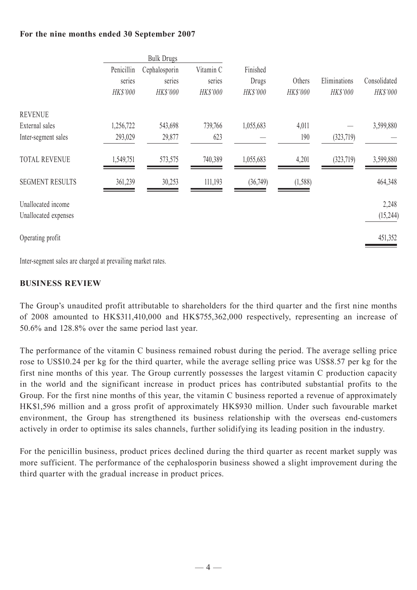## **For the nine months ended 30 September 2007**

|                        |                                  | <b>Bulk Drugs</b>       |                     |                   |                    |                          |                          |
|------------------------|----------------------------------|-------------------------|---------------------|-------------------|--------------------|--------------------------|--------------------------|
|                        | Penicillin<br>series<br>HK\$'000 | Cephalosporin<br>series | Vitamin C<br>series | Finished<br>Drugs | Others<br>HK\$'000 | Eliminations<br>HK\$'000 | Consolidated<br>HK\$'000 |
|                        |                                  |                         |                     |                   |                    |                          |                          |
|                        |                                  | HK\$'000                | HK\$'000            | HK\$'000          |                    |                          |                          |
| <b>REVENUE</b>         |                                  |                         |                     |                   |                    |                          |                          |
| External sales         | 1,256,722                        | 543,698                 | 739,766             | 1,055,683         | 4,011              |                          | 3,599,880                |
| Inter-segment sales    | 293,029                          | 29,877                  | 623                 |                   | 190                | (323,719)                |                          |
| <b>TOTAL REVENUE</b>   | 1,549,751                        | 573,575                 | 740,389             | 1,055,683         | 4,201              | (323,719)                | 3,599,880                |
| <b>SEGMENT RESULTS</b> | 361,239                          | 30,253                  | 111,193             | (36,749)          | (1,588)            |                          | 464,348                  |
| Unallocated income     |                                  |                         |                     |                   |                    |                          | 2,248                    |
| Unallocated expenses   |                                  |                         |                     |                   |                    |                          | (15, 244)                |
| Operating profit       |                                  |                         |                     |                   |                    |                          | 451,352                  |
|                        |                                  |                         |                     |                   |                    |                          |                          |

Inter-segment sales are charged at prevailing market rates.

#### **BUSINESS REVIEW**

The Group's unaudited profit attributable to shareholders for the third quarter and the first nine months of 2008 amounted to HK\$311,410,000 and HK\$755,362,000 respectively, representing an increase of 50.6% and 128.8% over the same period last year.

The performance of the vitamin C business remained robust during the period. The average selling price rose to US\$10.24 per kg for the third quarter, while the average selling price was US\$8.57 per kg for the first nine months of this year. The Group currently possesses the largest vitamin C production capacity in the world and the significant increase in product prices has contributed substantial profits to the Group. For the first nine months of this year, the vitamin C business reported a revenue of approximately HK\$1,596 million and a gross profit of approximately HK\$930 million. Under such favourable market environment, the Group has strengthened its business relationship with the overseas end-customers actively in order to optimise its sales channels, further solidifying its leading position in the industry.

For the penicillin business, product prices declined during the third quarter as recent market supply was more sufficient. The performance of the cephalosporin business showed a slight improvement during the third quarter with the gradual increase in product prices.